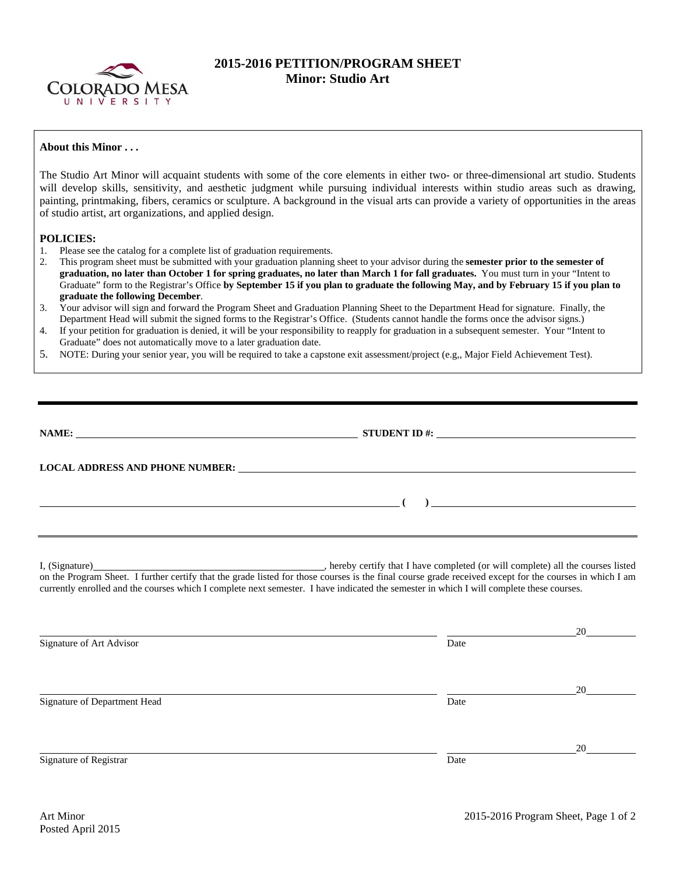

## **2015-2016 PETITION/PROGRAM SHEET Minor: Studio Art**

## **About this Minor . . .**

The Studio Art Minor will acquaint students with some of the core elements in either two- or three-dimensional art studio. Students will develop skills, sensitivity, and aesthetic judgment while pursuing individual interests within studio areas such as drawing, painting, printmaking, fibers, ceramics or sculpture. A background in the visual arts can provide a variety of opportunities in the areas of studio artist, art organizations, and applied design.

## **POLICIES:**

- 1. Please see the catalog for a complete list of graduation requirements.
- 2. This program sheet must be submitted with your graduation planning sheet to your advisor during the **semester prior to the semester of graduation, no later than October 1 for spring graduates, no later than March 1 for fall graduates.** You must turn in your "Intent to Graduate" form to the Registrar's Office **by September 15 if you plan to graduate the following May, and by February 15 if you plan to graduate the following December**.
- 3. Your advisor will sign and forward the Program Sheet and Graduation Planning Sheet to the Department Head for signature. Finally, the Department Head will submit the signed forms to the Registrar's Office. (Students cannot handle the forms once the advisor signs.)
- 4. If your petition for graduation is denied, it will be your responsibility to reapply for graduation in a subsequent semester. Your "Intent to Graduate" does not automatically move to a later graduation date.
- 5. NOTE: During your senior year, you will be required to take a capstone exit assessment/project (e.g,, Major Field Achievement Test).

|                              | STUDENT ID $\#$ :                                                                                                                                                                                                                                                                                   |    |
|------------------------------|-----------------------------------------------------------------------------------------------------------------------------------------------------------------------------------------------------------------------------------------------------------------------------------------------------|----|
|                              | LOCAL ADDRESS AND PHONE NUMBER: Under the contract of the contract of the contract of the contract of the contract of the contract of the contract of the contract of the contract of the contract of the contract of the cont                                                                      |    |
|                              |                                                                                                                                                                                                                                                                                                     |    |
|                              | on the Program Sheet. I further certify that the grade listed for those courses is the final course grade received except for the courses in which I am<br>currently enrolled and the courses which I complete next semester. I have indicated the semester in which I will complete these courses. |    |
| Signature of Art Advisor     | Date                                                                                                                                                                                                                                                                                                | 20 |
| Signature of Department Head | Date                                                                                                                                                                                                                                                                                                | 20 |
|                              |                                                                                                                                                                                                                                                                                                     | 20 |
| Signature of Registrar       | Date                                                                                                                                                                                                                                                                                                |    |